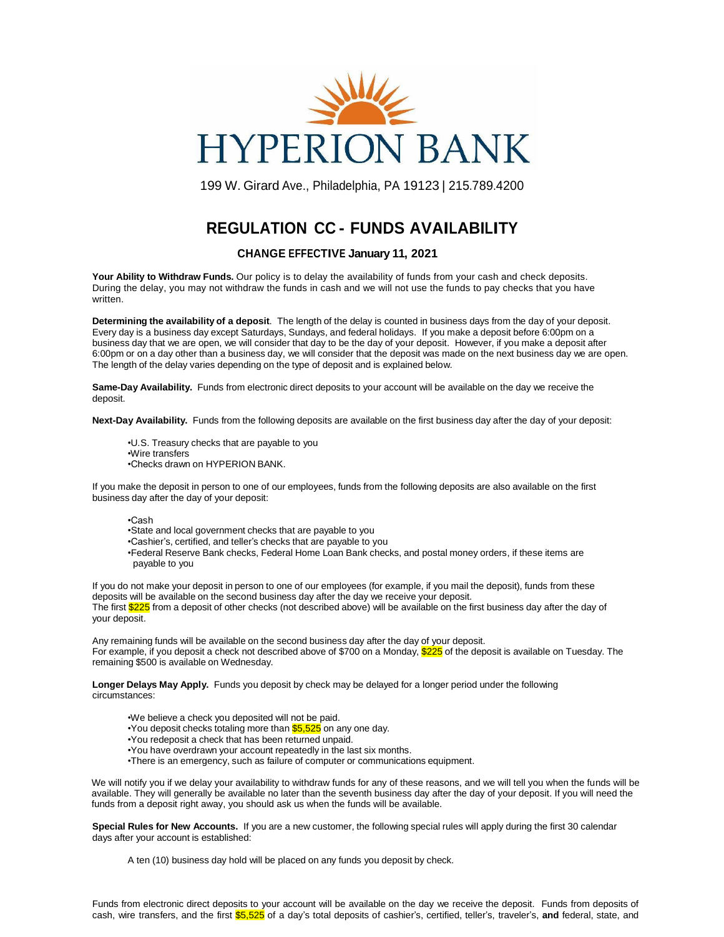

199 W. Girard Ave., Philadelphia, PA 19123 | 215.789.4200

## **REGULATION CC - FUNDS AVAILABILITY**

## **CHANGE EFFECTIVE January 11, 2021**

**Your Ability to Withdraw Funds.** Our policy is to delay the availability of funds from your cash and check deposits. During the delay, you may not withdraw the funds in cash and we will not use the funds to pay checks that you have written.

**Determining the availability of a deposit**. The length of the delay is counted in business days from the day of your deposit. Every day is a business day except Saturdays, Sundays, and federal holidays. If you make a deposit before 6:00pm on a business day that we are open, we will consider that day to be the day of your deposit. However, if you make a deposit after 6:00pm or on a day other than a business day, we will consider that the deposit was made on the next business day we are open. The length of the delay varies depending on the type of deposit and is explained below.

**Same-Day Availability.** Funds from electronic direct deposits to your account will be available on the day we receive the deposit.

**Next-Day Availability.** Funds from the following deposits are available on the first business day after the day of your deposit:

•U.S. Treasury checks that are payable to you •Wire transfers •Checks drawn on HYPERION BANK.

If you make the deposit in person to one of our employees, funds from the following deposits are also available on the first business day after the day of your deposit:

•Cash

- •State and local government checks that are payable to you
- •Cashier's, certified, and teller's checks that are payable to you

•Federal Reserve Bank checks, Federal Home Loan Bank checks, and postal money orders, if these items are payable to you

If you do not make your deposit in person to one of our employees (for example, if you mail the deposit), funds from these deposits will be available on the second business day after the day we receive your deposit. The first \$225 from a deposit of other checks (not described above) will be available on the first business day after the day of your deposit.

Any remaining funds will be available on the second business day after the day of your deposit. For example, if you deposit a check not described above of \$700 on a Monday, \$225 of the deposit is available on Tuesday. The remaining \$500 is available on Wednesday.

**Longer Delays May Apply.** Funds you deposit by check may be delayed for a longer period under the following circumstances:

•We believe a check you deposited will not be paid.

- •You deposit checks totaling more than \$5,525 on any one day.
- •You redeposit a check that has been returned unpaid.
- •You have overdrawn your account repeatedly in the last six months.
- •There is an emergency, such as failure of computer or communications equipment.

We will notify you if we delay your availability to withdraw funds for any of these reasons, and we will tell you when the funds will be available. They will generally be available no later than the seventh business day after the day of your deposit. If you will need the funds from a deposit right away, you should ask us when the funds will be available.

**Special Rules for New Accounts.** If you are a new customer, the following special rules will apply during the first 30 calendar days after your account is established:

A ten (10) business day hold will be placed on any funds you deposit by check.